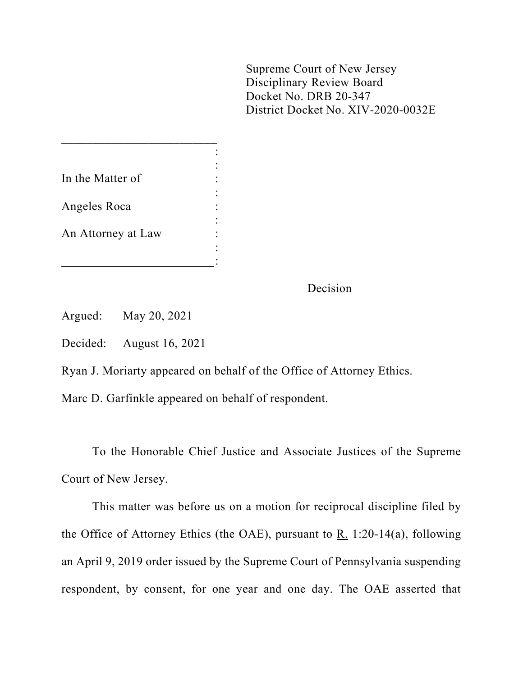Supreme Court of New Jersey Disciplinary Review Board Docket No. DRB 20-347 District Docket No. XIV-2020-0032E

| In the Matter of   |  |
|--------------------|--|
| Angeles Roca       |  |
| An Attorney at Law |  |
|                    |  |

 $\frac{1}{2}$  ,  $\frac{1}{2}$  ,  $\frac{1}{2}$  ,  $\frac{1}{2}$  ,  $\frac{1}{2}$  ,  $\frac{1}{2}$  ,  $\frac{1}{2}$  ,  $\frac{1}{2}$  ,  $\frac{1}{2}$  ,  $\frac{1}{2}$  ,  $\frac{1}{2}$  ,  $\frac{1}{2}$  ,  $\frac{1}{2}$  ,  $\frac{1}{2}$  ,  $\frac{1}{2}$  ,  $\frac{1}{2}$  ,  $\frac{1}{2}$  ,  $\frac{1}{2}$  ,  $\frac{1$ 

Decision

Argued: May 20, 2021

Decided: August 16, 2021

Ryan J. Moriarty appeared on behalf of the Office of Attorney Ethics.

Marc D. Garfinkle appeared on behalf of respondent.

To the Honorable Chief Justice and Associate Justices of the Supreme Court of New Jersey.

This matter was before us on a motion for reciprocal discipline filed by the Office of Attorney Ethics (the OAE), pursuant to  $\underline{R}$ . 1:20-14(a), following an April 9, 2019 order issued by the Supreme Court of Pennsylvania suspending respondent, by consent, for one year and one day. The OAE asserted that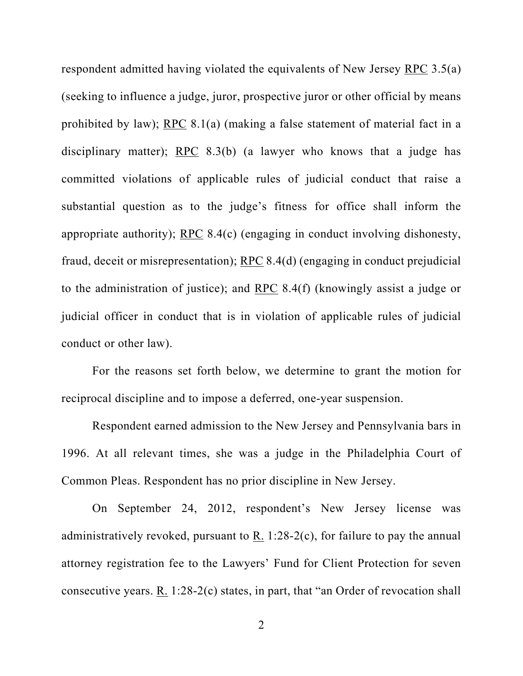respondent admitted having violated the equivalents of New Jersey RPC 3.5(a) (seeking to influence a judge, juror, prospective juror or other official by means prohibited by law); RPC 8.1(a) (making a false statement of material fact in a disciplinary matter); RPC 8.3(b) (a lawyer who knows that a judge has committed violations of applicable rules of judicial conduct that raise a substantial question as to the judge's fitness for office shall inform the appropriate authority); RPC 8.4(c) (engaging in conduct involving dishonesty, fraud, deceit or misrepresentation); RPC 8.4(d) (engaging in conduct prejudicial to the administration of justice); and RPC 8.4(f) (knowingly assist a judge or judicial officer in conduct that is in violation of applicable rules of judicial conduct or other law).

For the reasons set forth below, we determine to grant the motion for reciprocal discipline and to impose a deferred, one-year suspension.

Respondent earned admission to the New Jersey and Pennsylvania bars in 1996. At all relevant times, she was a judge in the Philadelphia Court of Common Pleas. Respondent has no prior discipline in New Jersey.

On September 24, 2012, respondent's New Jersey license was administratively revoked, pursuant to R. 1:28-2(c), for failure to pay the annual attorney registration fee to the Lawyers' Fund for Client Protection for seven consecutive years. R. 1:28-2(c) states, in part, that "an Order of revocation shall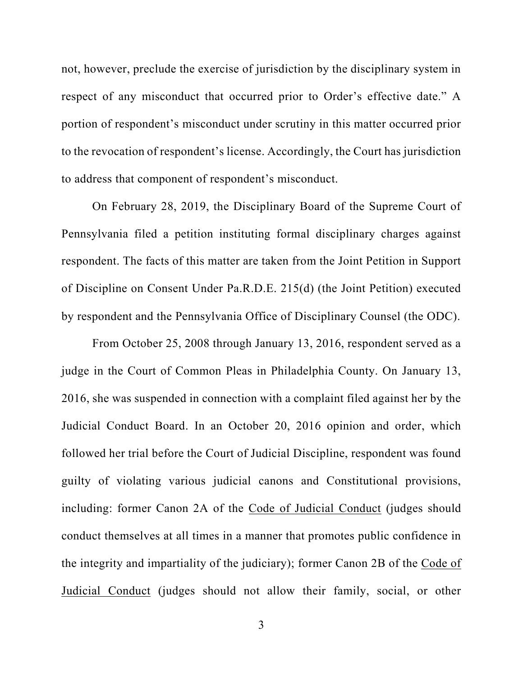not, however, preclude the exercise of jurisdiction by the disciplinary system in respect of any misconduct that occurred prior to Order's effective date." A portion of respondent's misconduct under scrutiny in this matter occurred prior to the revocation of respondent's license. Accordingly, the Court has jurisdiction to address that component of respondent's misconduct.

On February 28, 2019, the Disciplinary Board of the Supreme Court of Pennsylvania filed a petition instituting formal disciplinary charges against respondent. The facts of this matter are taken from the Joint Petition in Support of Discipline on Consent Under Pa.R.D.E. 215(d) (the Joint Petition) executed by respondent and the Pennsylvania Office of Disciplinary Counsel (the ODC).

From October 25, 2008 through January 13, 2016, respondent served as a judge in the Court of Common Pleas in Philadelphia County. On January 13, 2016, she was suspended in connection with a complaint filed against her by the Judicial Conduct Board. In an October 20, 2016 opinion and order, which followed her trial before the Court of Judicial Discipline, respondent was found guilty of violating various judicial canons and Constitutional provisions, including: former Canon 2A of the Code of Judicial Conduct (judges should conduct themselves at all times in a manner that promotes public confidence in the integrity and impartiality of the judiciary); former Canon 2B of the Code of Judicial Conduct (judges should not allow their family, social, or other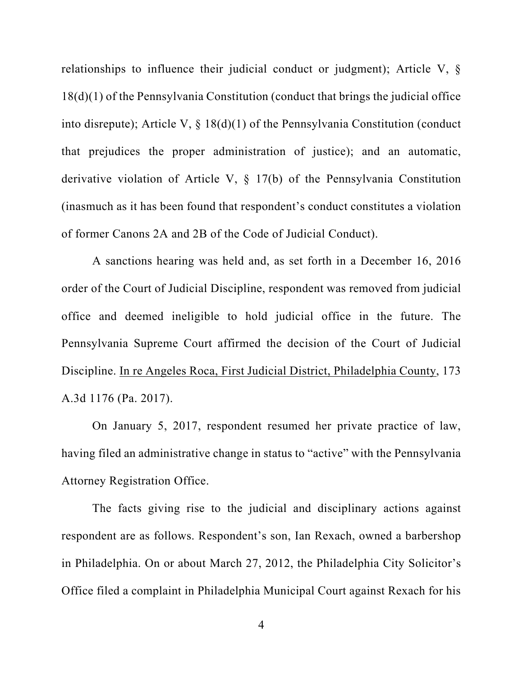relationships to influence their judicial conduct or judgment); Article V, § 18(d)(1) of the Pennsylvania Constitution (conduct that brings the judicial office into disrepute); Article V, § 18(d)(1) of the Pennsylvania Constitution (conduct that prejudices the proper administration of justice); and an automatic, derivative violation of Article V, § 17(b) of the Pennsylvania Constitution (inasmuch as it has been found that respondent's conduct constitutes a violation of former Canons 2A and 2B of the Code of Judicial Conduct).

A sanctions hearing was held and, as set forth in a December 16, 2016 order of the Court of Judicial Discipline, respondent was removed from judicial office and deemed ineligible to hold judicial office in the future. The Pennsylvania Supreme Court affirmed the decision of the Court of Judicial Discipline. In re Angeles Roca, First Judicial District, Philadelphia County, 173 A.3d 1176 (Pa. 2017).

On January 5, 2017, respondent resumed her private practice of law, having filed an administrative change in status to "active" with the Pennsylvania Attorney Registration Office.

The facts giving rise to the judicial and disciplinary actions against respondent are as follows. Respondent's son, Ian Rexach, owned a barbershop in Philadelphia. On or about March 27, 2012, the Philadelphia City Solicitor's Office filed a complaint in Philadelphia Municipal Court against Rexach for his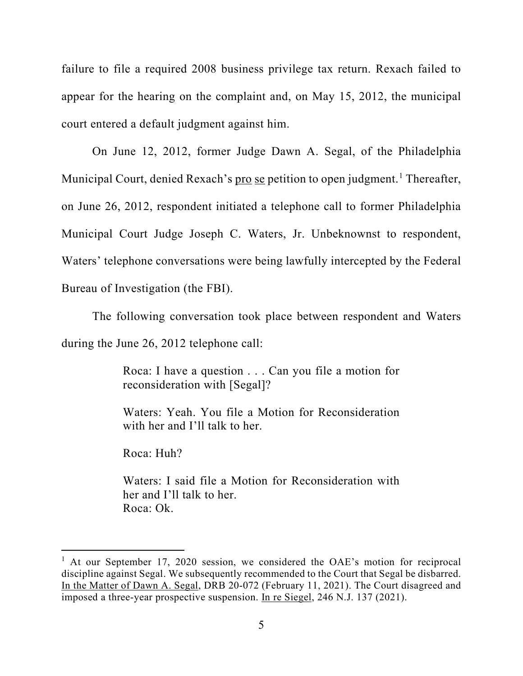failure to file a required 2008 business privilege tax return. Rexach failed to appear for the hearing on the complaint and, on May 15, 2012, the municipal court entered a default judgment against him.

On June 12, 2012, former Judge Dawn A. Segal, of the Philadelphia Municipal Court, denied Rexach's pro se petition to open judgment.<sup>[1](#page-4-0)</sup> Thereafter, on June 26, 2012, respondent initiated a telephone call to former Philadelphia Municipal Court Judge Joseph C. Waters, Jr. Unbeknownst to respondent, Waters' telephone conversations were being lawfully intercepted by the Federal Bureau of Investigation (the FBI).

The following conversation took place between respondent and Waters during the June 26, 2012 telephone call:

> Roca: I have a question . . . Can you file a motion for reconsideration with [Segal]?

> Waters: Yeah. You file a Motion for Reconsideration with her and I'll talk to her.

Roca: Huh?

Waters: I said file a Motion for Reconsideration with her and I'll talk to her. Roca: Ok.

<span id="page-4-0"></span><sup>&</sup>lt;sup>1</sup> At our September 17, 2020 session, we considered the OAE's motion for reciprocal discipline against Segal. We subsequently recommended to the Court that Segal be disbarred. In the Matter of Dawn A. Segal, DRB 20-072 (February 11, 2021). The Court disagreed and imposed a three-year prospective suspension. In re Siegel, 246 N.J. 137 (2021).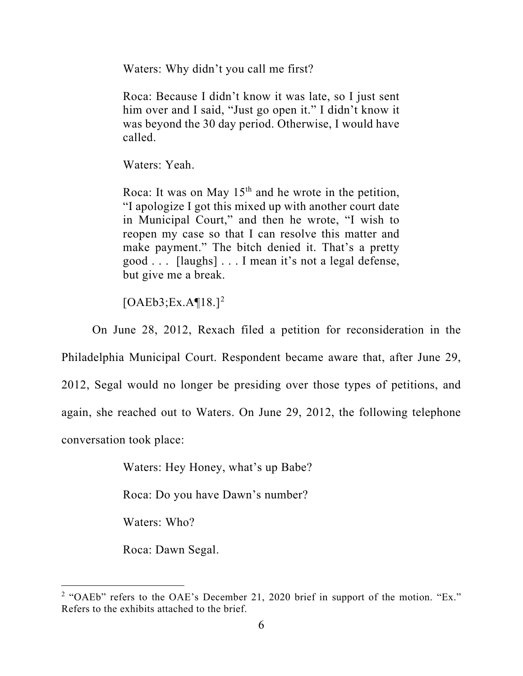Waters: Why didn't you call me first?

Roca: Because I didn't know it was late, so I just sent him over and I said, "Just go open it." I didn't know it was beyond the 30 day period. Otherwise, I would have called.

Waters: Yeah.

Roca: It was on May  $15<sup>th</sup>$  and he wrote in the petition, "I apologize I got this mixed up with another court date in Municipal Court," and then he wrote, "I wish to reopen my case so that I can resolve this matter and make payment." The bitch denied it. That's a pretty good . . . [laughs] . . . I mean it's not a legal defense, but give me a break.

 $[OAEB3; Ex.A$ <sup>[18.]<sup>[2](#page-5-0)</sup></sup>

On June 28, 2012, Rexach filed a petition for reconsideration in the

Philadelphia Municipal Court. Respondent became aware that, after June 29, 2012, Segal would no longer be presiding over those types of petitions, and again, she reached out to Waters. On June 29, 2012, the following telephone conversation took place:

Waters: Hey Honey, what's up Babe?

Roca: Do you have Dawn's number?

Waters: Who?

Roca: Dawn Segal.

<span id="page-5-0"></span><sup>&</sup>lt;sup>2</sup> "OAEb" refers to the OAE's December 21, 2020 brief in support of the motion. "Ex." Refers to the exhibits attached to the brief.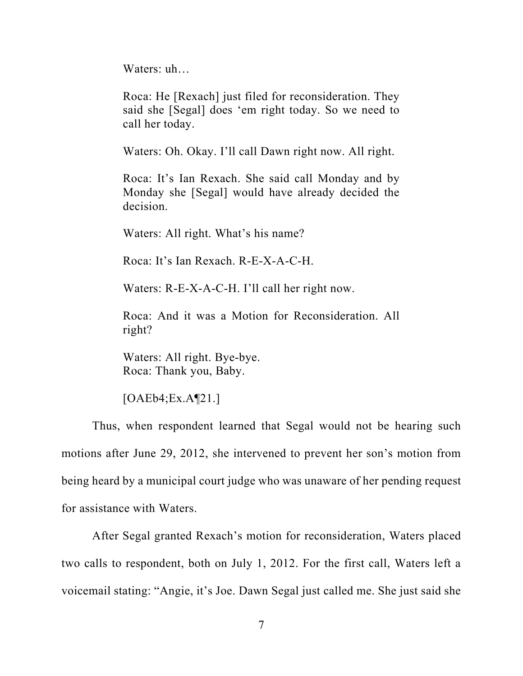Waters: uh…

Roca: He [Rexach] just filed for reconsideration. They said she [Segal] does 'em right today. So we need to call her today.

Waters: Oh. Okay. I'll call Dawn right now. All right.

Roca: It's Ian Rexach. She said call Monday and by Monday she [Segal] would have already decided the decision.

Waters: All right. What's his name?

Roca: It's Ian Rexach. R-E-X-A-C-H.

Waters: R-E-X-A-C-H. I'll call her right now.

Roca: And it was a Motion for Reconsideration. All right?

Waters: All right. Bye-bye. Roca: Thank you, Baby.

 $[OAEb4; Ex.A[21.]$ 

Thus, when respondent learned that Segal would not be hearing such motions after June 29, 2012, she intervened to prevent her son's motion from being heard by a municipal court judge who was unaware of her pending request for assistance with Waters.

After Segal granted Rexach's motion for reconsideration, Waters placed two calls to respondent, both on July 1, 2012. For the first call, Waters left a voicemail stating: "Angie, it's Joe. Dawn Segal just called me. She just said she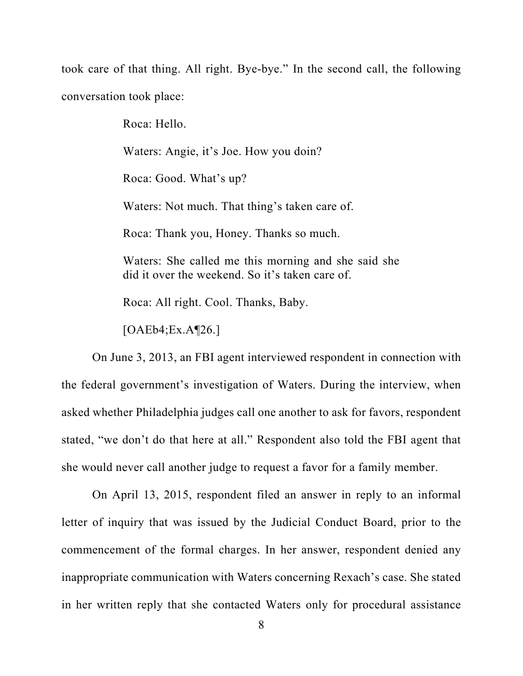took care of that thing. All right. Bye-bye." In the second call, the following conversation took place:

> Roca: Hello. Waters: Angie, it's Joe. How you doin? Roca: Good. What's up? Waters: Not much. That thing's taken care of. Roca: Thank you, Honey. Thanks so much. Waters: She called me this morning and she said she did it over the weekend. So it's taken care of.

Roca: All right. Cool. Thanks, Baby.

 $[OAEb4; Ex.A$ [26.]

On June 3, 2013, an FBI agent interviewed respondent in connection with the federal government's investigation of Waters. During the interview, when asked whether Philadelphia judges call one another to ask for favors, respondent stated, "we don't do that here at all." Respondent also told the FBI agent that she would never call another judge to request a favor for a family member.

On April 13, 2015, respondent filed an answer in reply to an informal letter of inquiry that was issued by the Judicial Conduct Board, prior to the commencement of the formal charges. In her answer, respondent denied any inappropriate communication with Waters concerning Rexach's case. She stated in her written reply that she contacted Waters only for procedural assistance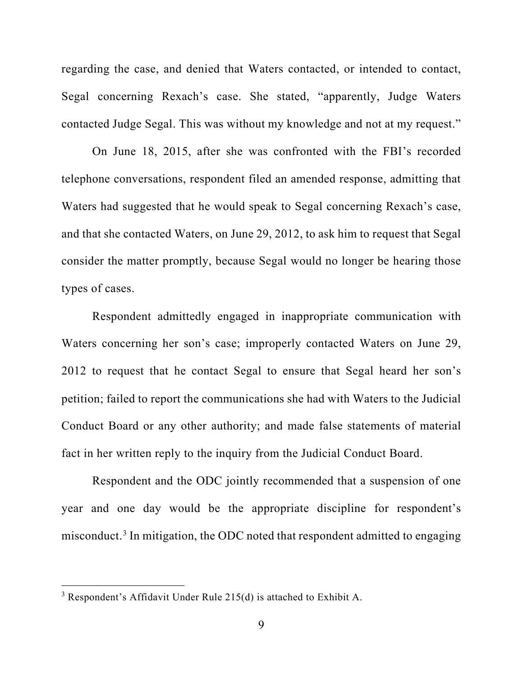regarding the case, and denied that Waters contacted, or intended to contact, Segal concerning Rexach's case. She stated, "apparently, Judge Waters contacted Judge Segal. This was without my knowledge and not at my request."

On June 18, 2015, after she was confronted with the FBI's recorded telephone conversations, respondent filed an amended response, admitting that Waters had suggested that he would speak to Segal concerning Rexach's case, and that she contacted Waters, on June 29, 2012, to ask him to request that Segal consider the matter promptly, because Segal would no longer be hearing those types of cases.

Respondent admittedly engaged in inappropriate communication with Waters concerning her son's case; improperly contacted Waters on June 29, 2012 to request that he contact Segal to ensure that Segal heard her son's petition; failed to report the communications she had with Waters to the Judicial Conduct Board or any other authority; and made false statements of material fact in her written reply to the inquiry from the Judicial Conduct Board.

Respondent and the ODC jointly recommended that a suspension of one year and one day would be the appropriate discipline for respondent's misconduct.<sup>[3](#page-8-0)</sup> In mitigation, the ODC noted that respondent admitted to engaging

<span id="page-8-0"></span> $3$  Respondent's Affidavit Under Rule 215(d) is attached to Exhibit A.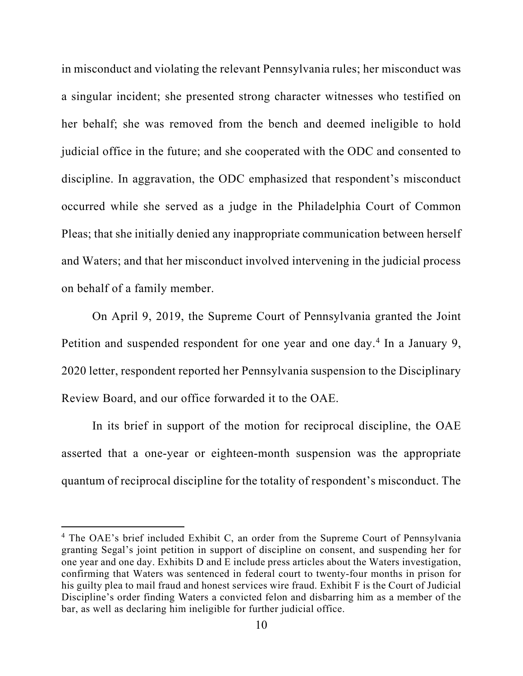in misconduct and violating the relevant Pennsylvania rules; her misconduct was a singular incident; she presented strong character witnesses who testified on her behalf; she was removed from the bench and deemed ineligible to hold judicial office in the future; and she cooperated with the ODC and consented to discipline. In aggravation, the ODC emphasized that respondent's misconduct occurred while she served as a judge in the Philadelphia Court of Common Pleas; that she initially denied any inappropriate communication between herself and Waters; and that her misconduct involved intervening in the judicial process on behalf of a family member.

On April 9, 2019, the Supreme Court of Pennsylvania granted the Joint Petition and suspended respondent for one year and one day.<sup>[4](#page-9-0)</sup> In a January 9, 2020 letter, respondent reported her Pennsylvania suspension to the Disciplinary Review Board, and our office forwarded it to the OAE.

In its brief in support of the motion for reciprocal discipline, the OAE asserted that a one-year or eighteen-month suspension was the appropriate quantum of reciprocal discipline for the totality of respondent's misconduct. The

<span id="page-9-0"></span><sup>&</sup>lt;sup>4</sup> The OAE's brief included Exhibit C, an order from the Supreme Court of Pennsylvania granting Segal's joint petition in support of discipline on consent, and suspending her for one year and one day. Exhibits D and E include press articles about the Waters investigation, confirming that Waters was sentenced in federal court to twenty-four months in prison for his guilty plea to mail fraud and honest services wire fraud. Exhibit F is the Court of Judicial Discipline's order finding Waters a convicted felon and disbarring him as a member of the bar, as well as declaring him ineligible for further judicial office.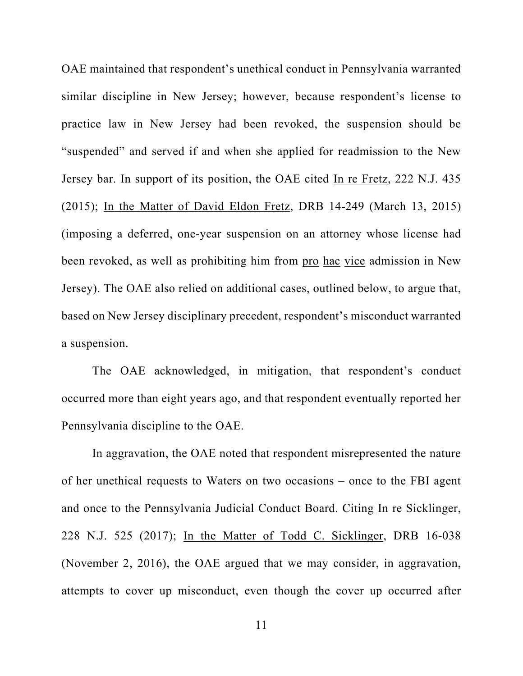OAE maintained that respondent's unethical conduct in Pennsylvania warranted similar discipline in New Jersey; however, because respondent's license to practice law in New Jersey had been revoked, the suspension should be "suspended" and served if and when she applied for readmission to the New Jersey bar. In support of its position, the OAE cited In re Fretz, 222 N.J. 435 (2015); In the Matter of David Eldon Fretz, DRB 14-249 (March 13, 2015) (imposing a deferred, one-year suspension on an attorney whose license had been revoked, as well as prohibiting him from pro hac vice admission in New Jersey). The OAE also relied on additional cases, outlined below, to argue that, based on New Jersey disciplinary precedent, respondent's misconduct warranted a suspension.

The OAE acknowledged, in mitigation, that respondent's conduct occurred more than eight years ago, and that respondent eventually reported her Pennsylvania discipline to the OAE.

In aggravation, the OAE noted that respondent misrepresented the nature of her unethical requests to Waters on two occasions – once to the FBI agent and once to the Pennsylvania Judicial Conduct Board. Citing In re Sicklinger, 228 N.J. 525 (2017); In the Matter of Todd C. Sicklinger, DRB 16-038 (November 2, 2016), the OAE argued that we may consider, in aggravation, attempts to cover up misconduct, even though the cover up occurred after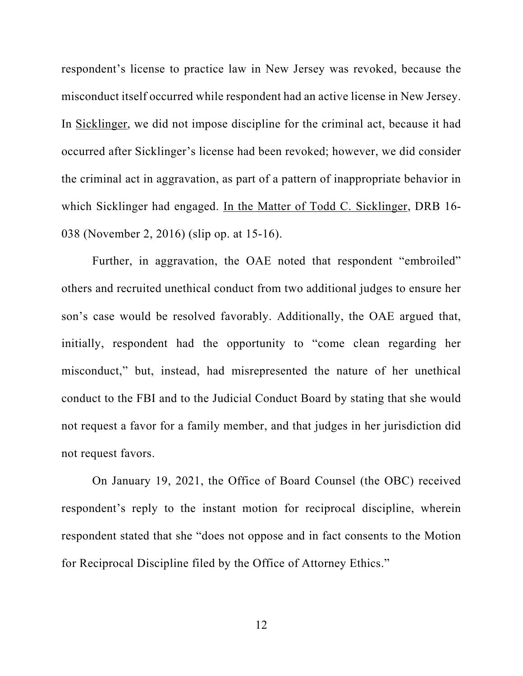respondent's license to practice law in New Jersey was revoked, because the misconduct itself occurred while respondent had an active license in New Jersey. In Sicklinger, we did not impose discipline for the criminal act, because it had occurred after Sicklinger's license had been revoked; however, we did consider the criminal act in aggravation, as part of a pattern of inappropriate behavior in which Sicklinger had engaged. In the Matter of Todd C. Sicklinger, DRB 16- 038 (November 2, 2016) (slip op. at 15-16).

Further, in aggravation, the OAE noted that respondent "embroiled" others and recruited unethical conduct from two additional judges to ensure her son's case would be resolved favorably. Additionally, the OAE argued that, initially, respondent had the opportunity to "come clean regarding her misconduct," but, instead, had misrepresented the nature of her unethical conduct to the FBI and to the Judicial Conduct Board by stating that she would not request a favor for a family member, and that judges in her jurisdiction did not request favors.

On January 19, 2021, the Office of Board Counsel (the OBC) received respondent's reply to the instant motion for reciprocal discipline, wherein respondent stated that she "does not oppose and in fact consents to the Motion for Reciprocal Discipline filed by the Office of Attorney Ethics."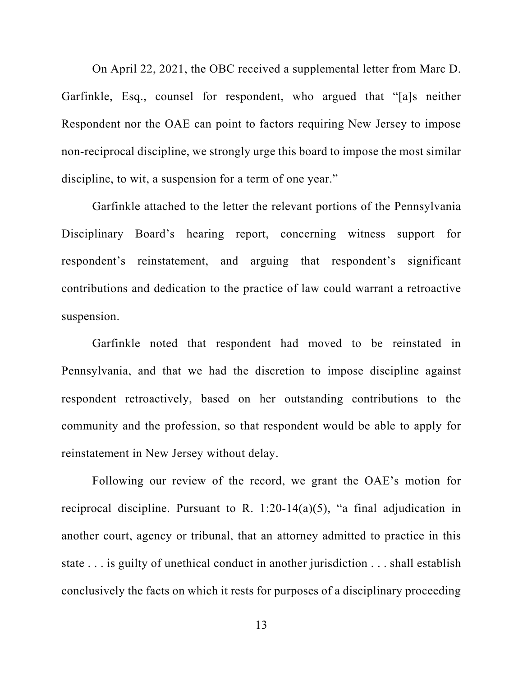On April 22, 2021, the OBC received a supplemental letter from Marc D. Garfinkle, Esq., counsel for respondent, who argued that "[a]s neither Respondent nor the OAE can point to factors requiring New Jersey to impose non-reciprocal discipline, we strongly urge this board to impose the most similar discipline, to wit, a suspension for a term of one year."

Garfinkle attached to the letter the relevant portions of the Pennsylvania Disciplinary Board's hearing report, concerning witness support for respondent's reinstatement, and arguing that respondent's significant contributions and dedication to the practice of law could warrant a retroactive suspension.

Garfinkle noted that respondent had moved to be reinstated in Pennsylvania, and that we had the discretion to impose discipline against respondent retroactively, based on her outstanding contributions to the community and the profession, so that respondent would be able to apply for reinstatement in New Jersey without delay.

Following our review of the record, we grant the OAE's motion for reciprocal discipline. Pursuant to R. 1:20-14(a)(5), "a final adjudication in another court, agency or tribunal, that an attorney admitted to practice in this state . . . is guilty of unethical conduct in another jurisdiction . . . shall establish conclusively the facts on which it rests for purposes of a disciplinary proceeding

13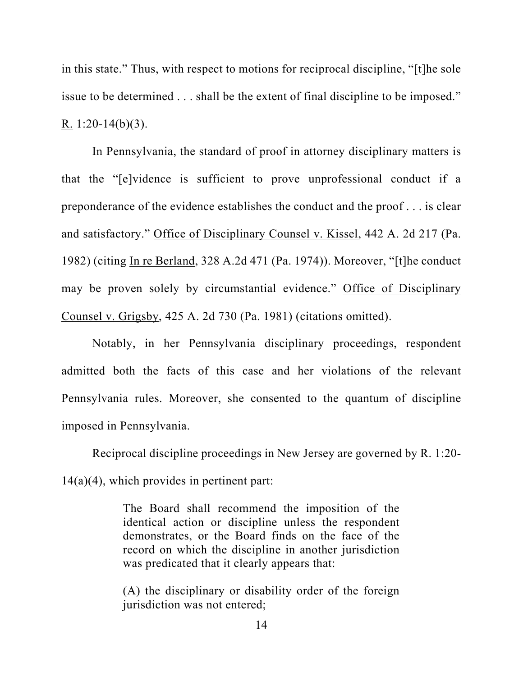in this state." Thus, with respect to motions for reciprocal discipline, "[t]he sole issue to be determined . . . shall be the extent of final discipline to be imposed." R.  $1:20-14(b)(3)$ .

In Pennsylvania, the standard of proof in attorney disciplinary matters is that the "[e]vidence is sufficient to prove unprofessional conduct if a preponderance of the evidence establishes the conduct and the proof . . . is clear and satisfactory." Office of Disciplinary Counsel v. Kissel, 442 A. 2d 217 (Pa. 1982) (citing In re Berland, 328 A.2d 471 (Pa. 1974)). Moreover, "[t]he conduct may be proven solely by circumstantial evidence." Office of Disciplinary Counsel v. Grigsby, 425 A. 2d 730 (Pa. 1981) (citations omitted).

Notably, in her Pennsylvania disciplinary proceedings, respondent admitted both the facts of this case and her violations of the relevant Pennsylvania rules. Moreover, she consented to the quantum of discipline imposed in Pennsylvania.

Reciprocal discipline proceedings in New Jersey are governed by R. 1:20- 14(a)(4), which provides in pertinent part:

> The Board shall recommend the imposition of the identical action or discipline unless the respondent demonstrates, or the Board finds on the face of the record on which the discipline in another jurisdiction was predicated that it clearly appears that:

> (A) the disciplinary or disability order of the foreign jurisdiction was not entered;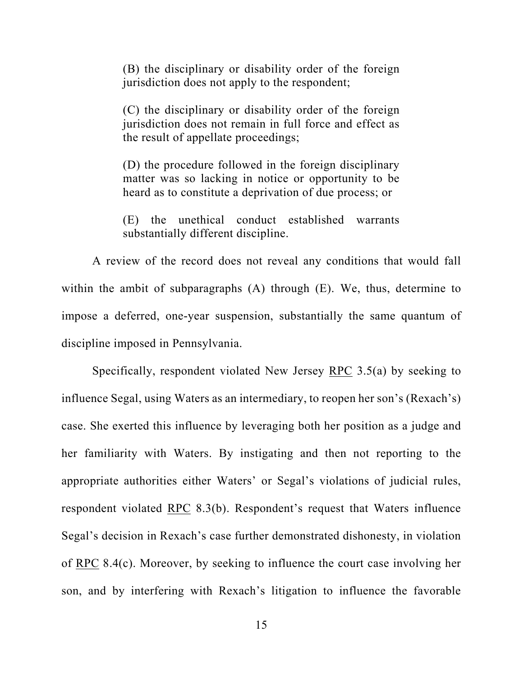(B) the disciplinary or disability order of the foreign jurisdiction does not apply to the respondent;

(C) the disciplinary or disability order of the foreign jurisdiction does not remain in full force and effect as the result of appellate proceedings;

(D) the procedure followed in the foreign disciplinary matter was so lacking in notice or opportunity to be heard as to constitute a deprivation of due process; or

(E) the unethical conduct established warrants substantially different discipline.

A review of the record does not reveal any conditions that would fall within the ambit of subparagraphs (A) through (E). We, thus, determine to impose a deferred, one-year suspension, substantially the same quantum of discipline imposed in Pennsylvania.

Specifically, respondent violated New Jersey  $RPC$  3.5(a) by seeking to influence Segal, using Waters as an intermediary, to reopen her son's (Rexach's) case. She exerted this influence by leveraging both her position as a judge and her familiarity with Waters. By instigating and then not reporting to the appropriate authorities either Waters' or Segal's violations of judicial rules, respondent violated RPC 8.3(b). Respondent's request that Waters influence Segal's decision in Rexach's case further demonstrated dishonesty, in violation of RPC 8.4(c). Moreover, by seeking to influence the court case involving her son, and by interfering with Rexach's litigation to influence the favorable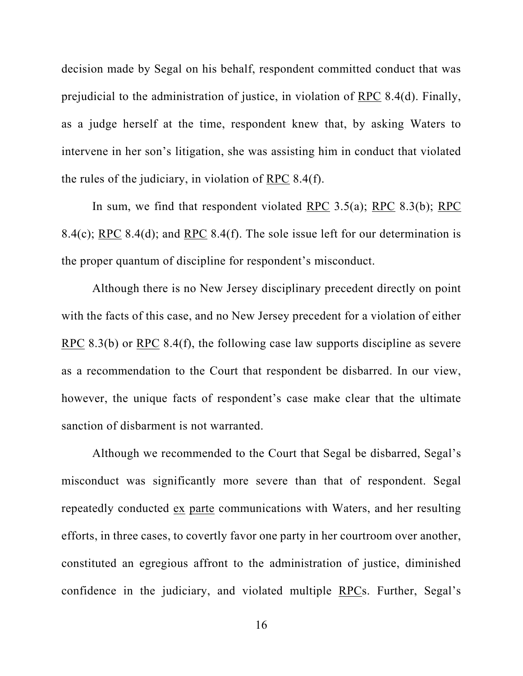decision made by Segal on his behalf, respondent committed conduct that was prejudicial to the administration of justice, in violation of RPC 8.4(d). Finally, as a judge herself at the time, respondent knew that, by asking Waters to intervene in her son's litigation, she was assisting him in conduct that violated the rules of the judiciary, in violation of RPC 8.4(f).

In sum, we find that respondent violated RPC 3.5(a); RPC 8.3(b); RPC 8.4(c); RPC 8.4(d); and RPC 8.4(f). The sole issue left for our determination is the proper quantum of discipline for respondent's misconduct.

Although there is no New Jersey disciplinary precedent directly on point with the facts of this case, and no New Jersey precedent for a violation of either RPC 8.3(b) or RPC 8.4(f), the following case law supports discipline as severe as a recommendation to the Court that respondent be disbarred. In our view, however, the unique facts of respondent's case make clear that the ultimate sanction of disbarment is not warranted.

Although we recommended to the Court that Segal be disbarred, Segal's misconduct was significantly more severe than that of respondent. Segal repeatedly conducted ex parte communications with Waters, and her resulting efforts, in three cases, to covertly favor one party in her courtroom over another, constituted an egregious affront to the administration of justice, diminished confidence in the judiciary, and violated multiple RPCs. Further, Segal's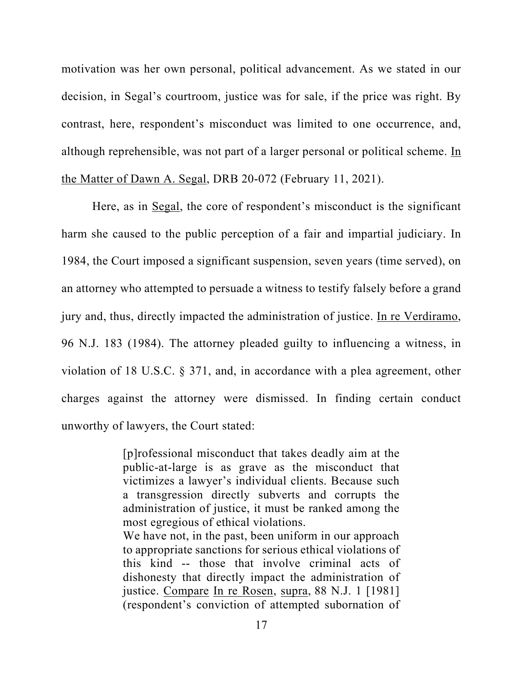motivation was her own personal, political advancement. As we stated in our decision, in Segal's courtroom, justice was for sale, if the price was right. By contrast, here, respondent's misconduct was limited to one occurrence, and, although reprehensible, was not part of a larger personal or political scheme. In the Matter of Dawn A. Segal, DRB 20-072 (February 11, 2021).

Here, as in Segal, the core of respondent's misconduct is the significant harm she caused to the public perception of a fair and impartial judiciary. In 1984, the Court imposed a significant suspension, seven years (time served), on an attorney who attempted to persuade a witness to testify falsely before a grand jury and, thus, directly impacted the administration of justice. In re Verdiramo, 96 N.J. 183 (1984). The attorney pleaded guilty to influencing a witness, in violation of 18 U.S.C. § 371, and, in accordance with a plea agreement, other charges against the attorney were dismissed. In finding certain conduct unworthy of lawyers, the Court stated:

> [p]rofessional misconduct that takes deadly aim at the public-at-large is as grave as the misconduct that victimizes a lawyer's individual clients. Because such a transgression directly subverts and corrupts the administration of justice, it must be ranked among the most egregious of ethical violations. We have not, in the past, been uniform in our approach to appropriate sanctions for serious ethical violations of this kind -- those that involve criminal acts of dishonesty that directly impact the administration of justice. Compare In re Rosen, supra, 88 N.J. 1 [1981] (respondent's conviction of attempted subornation of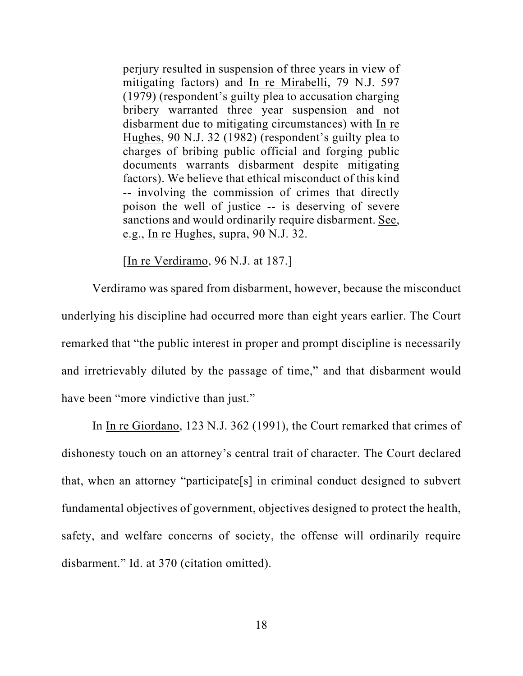perjury resulted in suspension of three years in view of mitigating factors) and In re Mirabelli, 79 N.J. 597 (1979) (respondent's guilty plea to accusation charging bribery warranted three year suspension and not disbarment due to mitigating circumstances) with In re Hughes, 90 N.J. 32 (1982) (respondent's guilty plea to charges of bribing public official and forging public documents warrants disbarment despite mitigating factors). We believe that ethical misconduct of this kind -- involving the commission of crimes that directly poison the well of justice -- is deserving of severe sanctions and would ordinarily require disbarment. See, e.g., In re Hughes, supra, 90 N.J. 32.

[In re Verdiramo, 96 N.J. at 187.]

Verdiramo was spared from disbarment, however, because the misconduct underlying his discipline had occurred more than eight years earlier. The Court remarked that "the public interest in proper and prompt discipline is necessarily and irretrievably diluted by the passage of time," and that disbarment would have been "more vindictive than just."

In <u>In re Giordano</u>, 123 N.J. 362 (1991), the Court remarked that crimes of dishonesty touch on an attorney's central trait of character. The Court declared that, when an attorney "participate[s] in criminal conduct designed to subvert fundamental objectives of government, objectives designed to protect the health, safety, and welfare concerns of society, the offense will ordinarily require disbarment." Id. at 370 (citation omitted).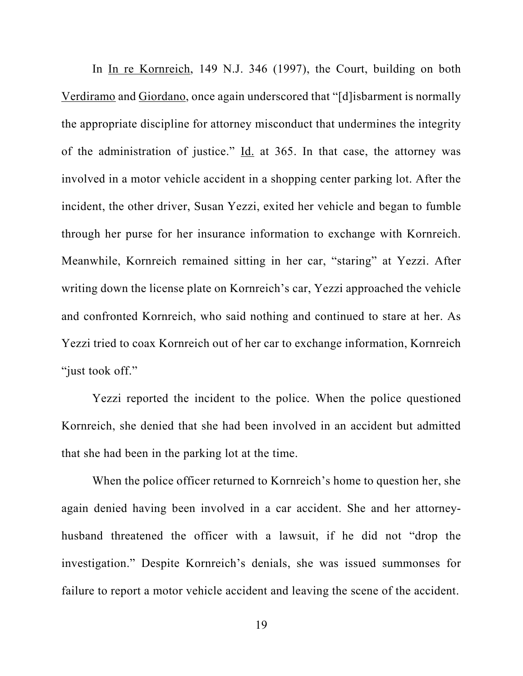In In re Kornreich, 149 N.J. 346 (1997), the Court, building on both Verdiramo and Giordano, once again underscored that "[d]isbarment is normally the appropriate discipline for attorney misconduct that undermines the integrity of the administration of justice." Id. at 365. In that case, the attorney was involved in a motor vehicle accident in a shopping center parking lot. After the incident, the other driver, Susan Yezzi, exited her vehicle and began to fumble through her purse for her insurance information to exchange with Kornreich. Meanwhile, Kornreich remained sitting in her car, "staring" at Yezzi. After writing down the license plate on Kornreich's car, Yezzi approached the vehicle and confronted Kornreich, who said nothing and continued to stare at her. As Yezzi tried to coax Kornreich out of her car to exchange information, Kornreich "just took off."

Yezzi reported the incident to the police. When the police questioned Kornreich, she denied that she had been involved in an accident but admitted that she had been in the parking lot at the time.

When the police officer returned to Kornreich's home to question her, she again denied having been involved in a car accident. She and her attorneyhusband threatened the officer with a lawsuit, if he did not "drop the investigation." Despite Kornreich's denials, she was issued summonses for failure to report a motor vehicle accident and leaving the scene of the accident.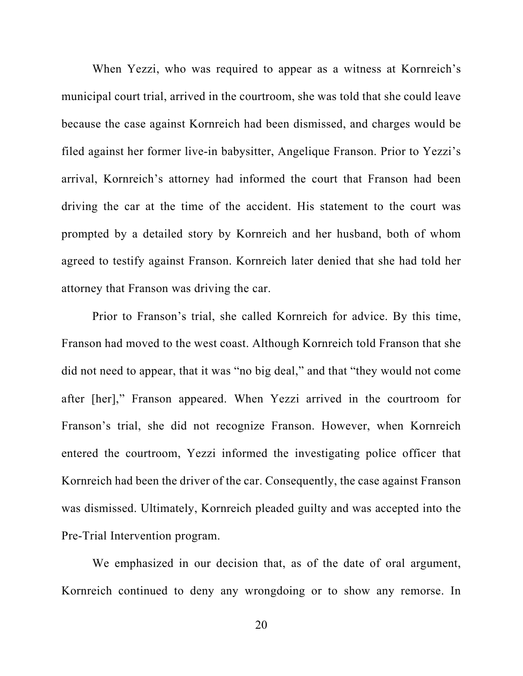When Yezzi, who was required to appear as a witness at Kornreich's municipal court trial, arrived in the courtroom, she was told that she could leave because the case against Kornreich had been dismissed, and charges would be filed against her former live-in babysitter, Angelique Franson. Prior to Yezzi's arrival, Kornreich's attorney had informed the court that Franson had been driving the car at the time of the accident. His statement to the court was prompted by a detailed story by Kornreich and her husband, both of whom agreed to testify against Franson. Kornreich later denied that she had told her attorney that Franson was driving the car.

Prior to Franson's trial, she called Kornreich for advice. By this time, Franson had moved to the west coast. Although Kornreich told Franson that she did not need to appear, that it was "no big deal," and that "they would not come after [her]," Franson appeared. When Yezzi arrived in the courtroom for Franson's trial, she did not recognize Franson. However, when Kornreich entered the courtroom, Yezzi informed the investigating police officer that Kornreich had been the driver of the car. Consequently, the case against Franson was dismissed. Ultimately, Kornreich pleaded guilty and was accepted into the Pre-Trial Intervention program.

We emphasized in our decision that, as of the date of oral argument, Kornreich continued to deny any wrongdoing or to show any remorse. In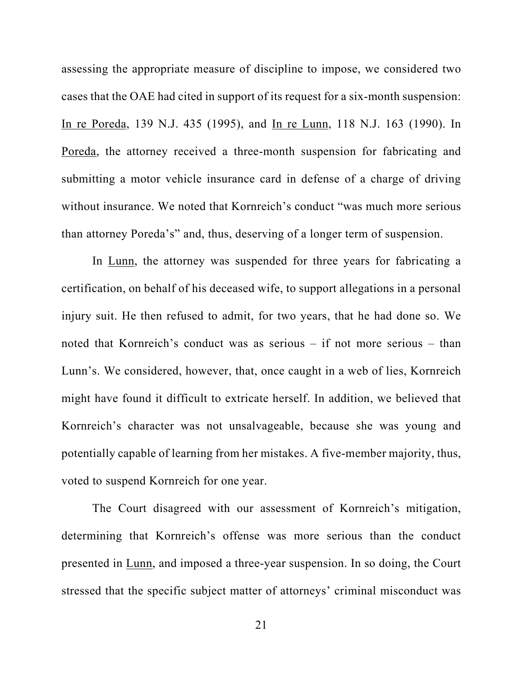assessing the appropriate measure of discipline to impose, we considered two cases that the OAE had cited in support of its request for a six-month suspension: In re Poreda, 139 N.J. 435 (1995), and In re Lunn, 118 N.J. 163 (1990). In Poreda, the attorney received a three-month suspension for fabricating and submitting a motor vehicle insurance card in defense of a charge of driving without insurance. We noted that Kornreich's conduct "was much more serious than attorney Poreda's" and, thus, deserving of a longer term of suspension.

In Lunn, the attorney was suspended for three years for fabricating a certification, on behalf of his deceased wife, to support allegations in a personal injury suit. He then refused to admit, for two years, that he had done so. We noted that Kornreich's conduct was as serious – if not more serious – than Lunn's. We considered, however, that, once caught in a web of lies, Kornreich might have found it difficult to extricate herself. In addition, we believed that Kornreich's character was not unsalvageable, because she was young and potentially capable of learning from her mistakes. A five-member majority, thus, voted to suspend Kornreich for one year.

The Court disagreed with our assessment of Kornreich's mitigation, determining that Kornreich's offense was more serious than the conduct presented in Lunn, and imposed a three-year suspension. In so doing, the Court stressed that the specific subject matter of attorneys' criminal misconduct was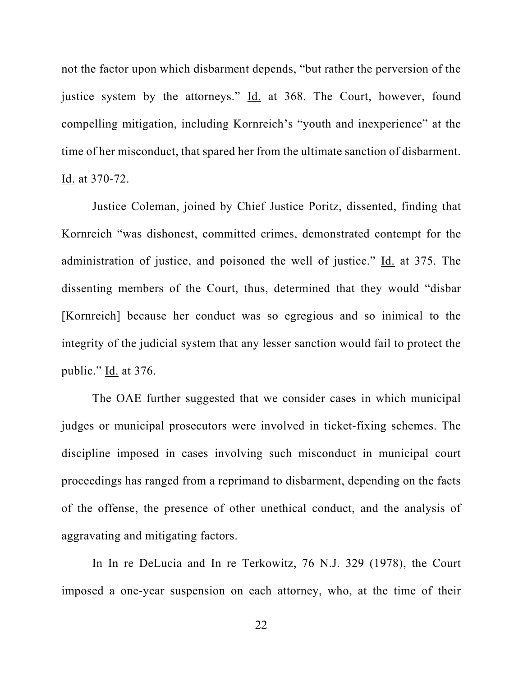not the factor upon which disbarment depends, "but rather the perversion of the justice system by the attorneys." Id. at 368. The Court, however, found compelling mitigation, including Kornreich's "youth and inexperience" at the time of her misconduct, that spared her from the ultimate sanction of disbarment. Id. at 370-72.

Justice Coleman, joined by Chief Justice Poritz, dissented, finding that Kornreich "was dishonest, committed crimes, demonstrated contempt for the administration of justice, and poisoned the well of justice." Id. at 375. The dissenting members of the Court, thus, determined that they would "disbar [Kornreich] because her conduct was so egregious and so inimical to the integrity of the judicial system that any lesser sanction would fail to protect the public."  $\underline{Id}$  at 376.

The OAE further suggested that we consider cases in which municipal judges or municipal prosecutors were involved in ticket-fixing schemes. The discipline imposed in cases involving such misconduct in municipal court proceedings has ranged from a reprimand to disbarment, depending on the facts of the offense, the presence of other unethical conduct, and the analysis of aggravating and mitigating factors.

In In re DeLucia and In re Terkowitz, 76 N.J. 329 (1978), the Court imposed a one-year suspension on each attorney, who, at the time of their

22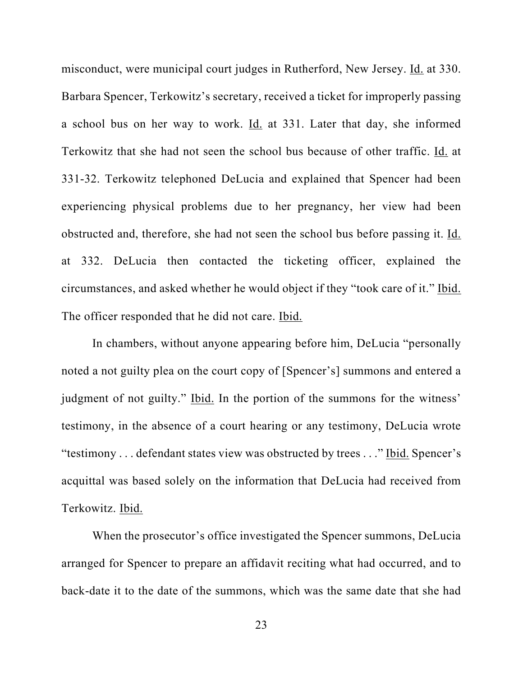misconduct, were municipal court judges in Rutherford, New Jersey. Id. at 330. Barbara Spencer, Terkowitz's secretary, received a ticket for improperly passing a school bus on her way to work. Id. at 331. Later that day, she informed Terkowitz that she had not seen the school bus because of other traffic. Id. at 331-32. Terkowitz telephoned DeLucia and explained that Spencer had been experiencing physical problems due to her pregnancy, her view had been obstructed and, therefore, she had not seen the school bus before passing it. Id. at 332. DeLucia then contacted the ticketing officer, explained the circumstances, and asked whether he would object if they "took care of it." Ibid. The officer responded that he did not care. Ibid.

In chambers, without anyone appearing before him, DeLucia "personally noted a not guilty plea on the court copy of [Spencer's] summons and entered a judgment of not guilty." Ibid. In the portion of the summons for the witness' testimony, in the absence of a court hearing or any testimony, DeLucia wrote "testimony . . . defendant states view was obstructed by trees . . ." Ibid. Spencer's acquittal was based solely on the information that DeLucia had received from Terkowitz. Ibid.

When the prosecutor's office investigated the Spencer summons, DeLucia arranged for Spencer to prepare an affidavit reciting what had occurred, and to back-date it to the date of the summons, which was the same date that she had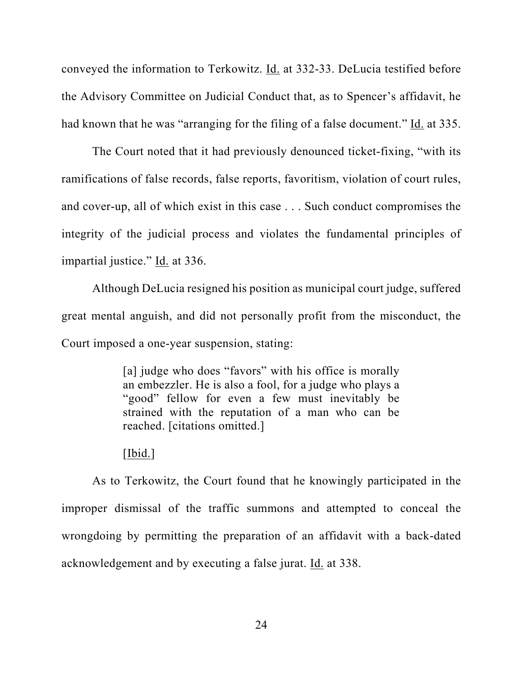conveyed the information to Terkowitz. Id. at 332-33. DeLucia testified before the Advisory Committee on Judicial Conduct that, as to Spencer's affidavit, he had known that he was "arranging for the filing of a false document." Id. at 335.

The Court noted that it had previously denounced ticket-fixing, "with its ramifications of false records, false reports, favoritism, violation of court rules, and cover-up, all of which exist in this case . . . Such conduct compromises the integrity of the judicial process and violates the fundamental principles of impartial justice." Id. at 336.

Although DeLucia resigned his position as municipal court judge, suffered great mental anguish, and did not personally profit from the misconduct, the Court imposed a one-year suspension, stating:

> [a] judge who does "favors" with his office is morally an embezzler. He is also a fool, for a judge who plays a "good" fellow for even a few must inevitably be strained with the reputation of a man who can be reached. [citations omitted.]

## [Ibid.]

As to Terkowitz, the Court found that he knowingly participated in the improper dismissal of the traffic summons and attempted to conceal the wrongdoing by permitting the preparation of an affidavit with a back-dated acknowledgement and by executing a false jurat. Id. at 338.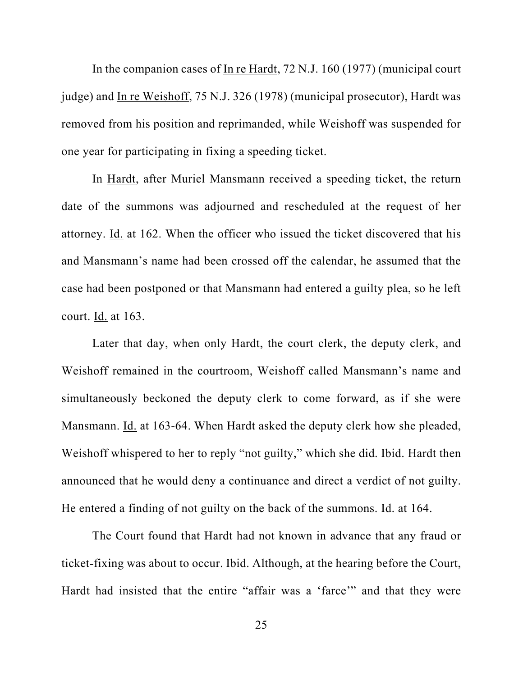In the companion cases of In re Hardt, 72 N.J. 160 (1977) (municipal court judge) and In re Weishoff, 75 N.J. 326 (1978) (municipal prosecutor), Hardt was removed from his position and reprimanded, while Weishoff was suspended for one year for participating in fixing a speeding ticket.

In Hardt, after Muriel Mansmann received a speeding ticket, the return date of the summons was adjourned and rescheduled at the request of her attorney. Id. at 162. When the officer who issued the ticket discovered that his and Mansmann's name had been crossed off the calendar, he assumed that the case had been postponed or that Mansmann had entered a guilty plea, so he left court. Id. at 163.

Later that day, when only Hardt, the court clerk, the deputy clerk, and Weishoff remained in the courtroom, Weishoff called Mansmann's name and simultaneously beckoned the deputy clerk to come forward, as if she were Mansmann. Id. at 163-64. When Hardt asked the deputy clerk how she pleaded, Weishoff whispered to her to reply "not guilty," which she did. Ibid. Hardt then announced that he would deny a continuance and direct a verdict of not guilty. He entered a finding of not guilty on the back of the summons. Id. at 164.

The Court found that Hardt had not known in advance that any fraud or ticket-fixing was about to occur. Ibid. Although, at the hearing before the Court, Hardt had insisted that the entire "affair was a 'farce'" and that they were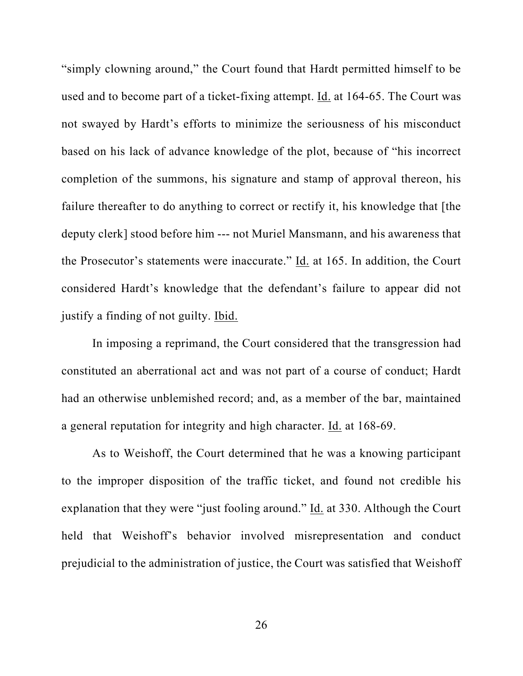"simply clowning around," the Court found that Hardt permitted himself to be used and to become part of a ticket-fixing attempt. Id. at 164-65. The Court was not swayed by Hardt's efforts to minimize the seriousness of his misconduct based on his lack of advance knowledge of the plot, because of "his incorrect completion of the summons, his signature and stamp of approval thereon, his failure thereafter to do anything to correct or rectify it, his knowledge that [the deputy clerk] stood before him --- not Muriel Mansmann, and his awareness that the Prosecutor's statements were inaccurate." Id. at 165. In addition, the Court considered Hardt's knowledge that the defendant's failure to appear did not justify a finding of not guilty. Ibid.

In imposing a reprimand, the Court considered that the transgression had constituted an aberrational act and was not part of a course of conduct; Hardt had an otherwise unblemished record; and, as a member of the bar, maintained a general reputation for integrity and high character. Id. at 168-69.

As to Weishoff, the Court determined that he was a knowing participant to the improper disposition of the traffic ticket, and found not credible his explanation that they were "just fooling around." Id. at 330. Although the Court held that Weishoff's behavior involved misrepresentation and conduct prejudicial to the administration of justice, the Court was satisfied that Weishoff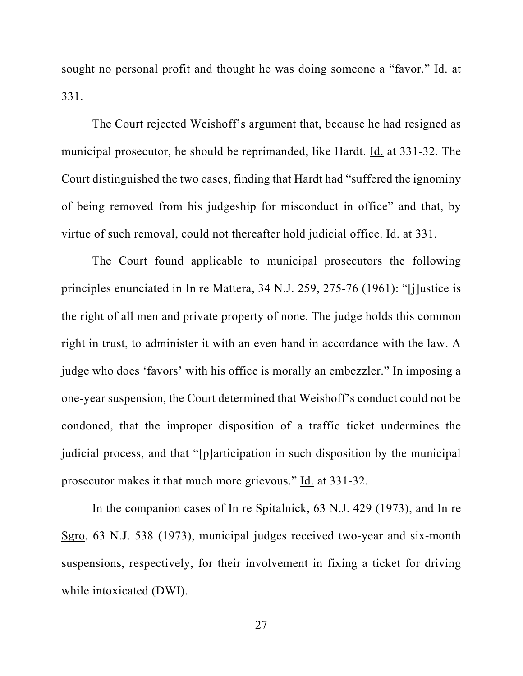sought no personal profit and thought he was doing someone a "favor." Id. at 331.

The Court rejected Weishoff's argument that, because he had resigned as municipal prosecutor, he should be reprimanded, like Hardt. Id. at 331-32. The Court distinguished the two cases, finding that Hardt had "suffered the ignominy of being removed from his judgeship for misconduct in office" and that, by virtue of such removal, could not thereafter hold judicial office. Id. at 331.

The Court found applicable to municipal prosecutors the following principles enunciated in In re Mattera, 34 N.J. 259, 275-76 (1961): "[j]ustice is the right of all men and private property of none. The judge holds this common right in trust, to administer it with an even hand in accordance with the law. A judge who does 'favors' with his office is morally an embezzler." In imposing a one-year suspension, the Court determined that Weishoff's conduct could not be condoned, that the improper disposition of a traffic ticket undermines the judicial process, and that "[p]articipation in such disposition by the municipal prosecutor makes it that much more grievous." Id. at 331-32.

In the companion cases of In re Spitalnick, 63 N.J. 429 (1973), and In re Sgro, 63 N.J. 538 (1973), municipal judges received two-year and six-month suspensions, respectively, for their involvement in fixing a ticket for driving while intoxicated (DWI).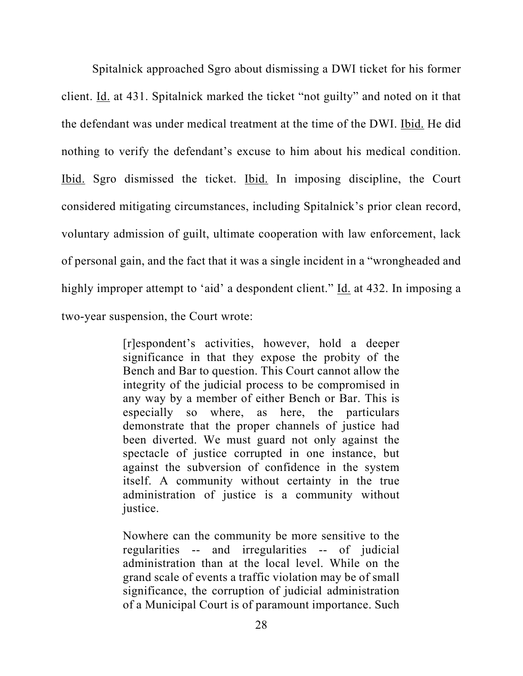Spitalnick approached Sgro about dismissing a DWI ticket for his former client. Id. at 431. Spitalnick marked the ticket "not guilty" and noted on it that the defendant was under medical treatment at the time of the DWI. Ibid. He did nothing to verify the defendant's excuse to him about his medical condition. Ibid. Sgro dismissed the ticket. Ibid. In imposing discipline, the Court considered mitigating circumstances, including Spitalnick's prior clean record, voluntary admission of guilt, ultimate cooperation with law enforcement, lack of personal gain, and the fact that it was a single incident in a "wrongheaded and highly improper attempt to 'aid' a despondent client." Id. at 432. In imposing a two-year suspension, the Court wrote:

> [r]espondent's activities, however, hold a deeper significance in that they expose the probity of the Bench and Bar to question. This Court cannot allow the integrity of the judicial process to be compromised in any way by a member of either Bench or Bar. This is especially so where, as here, the particulars demonstrate that the proper channels of justice had been diverted. We must guard not only against the spectacle of justice corrupted in one instance, but against the subversion of confidence in the system itself. A community without certainty in the true administration of justice is a community without justice.

> Nowhere can the community be more sensitive to the regularities -- and irregularities -- of judicial administration than at the local level. While on the grand scale of events a traffic violation may be of small significance, the corruption of judicial administration of a Municipal Court is of paramount importance. Such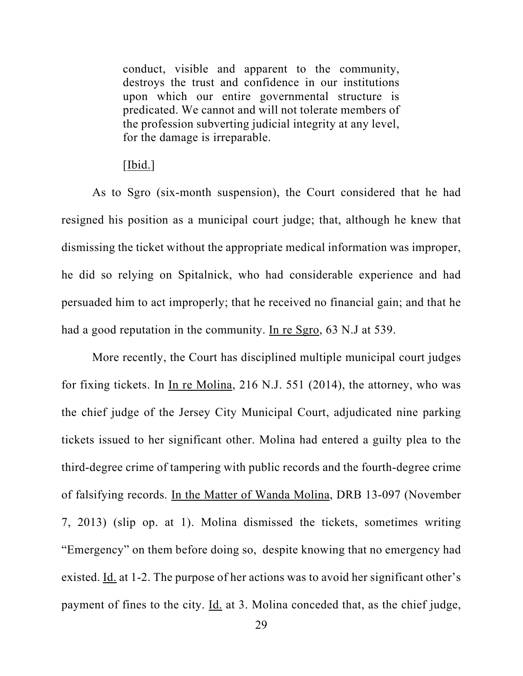conduct, visible and apparent to the community, destroys the trust and confidence in our institutions upon which our entire governmental structure is predicated. We cannot and will not tolerate members of the profession subverting judicial integrity at any level, for the damage is irreparable.

## $[\underline{Ibid.}]$

As to Sgro (six-month suspension), the Court considered that he had resigned his position as a municipal court judge; that, although he knew that dismissing the ticket without the appropriate medical information was improper, he did so relying on Spitalnick, who had considerable experience and had persuaded him to act improperly; that he received no financial gain; and that he had a good reputation in the community. In re Sgro, 63 N.J at 539.

More recently, the Court has disciplined multiple municipal court judges for fixing tickets. In In re Molina, 216 N.J. 551 (2014), the attorney, who was the chief judge of the Jersey City Municipal Court, adjudicated nine parking tickets issued to her significant other. Molina had entered a guilty plea to the third-degree crime of tampering with public records and the fourth-degree crime of falsifying records. In the Matter of Wanda Molina, DRB 13-097 (November 7, 2013) (slip op. at 1). Molina dismissed the tickets, sometimes writing "Emergency" on them before doing so, despite knowing that no emergency had existed. Id. at 1-2. The purpose of her actions was to avoid her significant other's payment of fines to the city.  $\underline{Id}$  at 3. Molina conceded that, as the chief judge,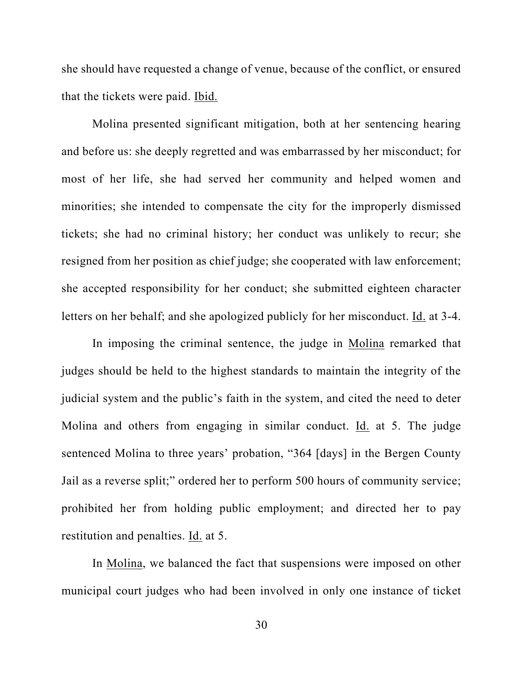she should have requested a change of venue, because of the conflict, or ensured that the tickets were paid. Ibid.

Molina presented significant mitigation, both at her sentencing hearing and before us: she deeply regretted and was embarrassed by her misconduct; for most of her life, she had served her community and helped women and minorities; she intended to compensate the city for the improperly dismissed tickets; she had no criminal history; her conduct was unlikely to recur; she resigned from her position as chief judge; she cooperated with law enforcement; she accepted responsibility for her conduct; she submitted eighteen character letters on her behalf; and she apologized publicly for her misconduct. Id. at 3-4.

In imposing the criminal sentence, the judge in Molina remarked that judges should be held to the highest standards to maintain the integrity of the judicial system and the public's faith in the system, and cited the need to deter Molina and others from engaging in similar conduct. Id. at 5. The judge sentenced Molina to three years' probation, "364 [days] in the Bergen County Jail as a reverse split;" ordered her to perform 500 hours of community service; prohibited her from holding public employment; and directed her to pay restitution and penalties. Id. at 5.

In Molina, we balanced the fact that suspensions were imposed on other municipal court judges who had been involved in only one instance of ticket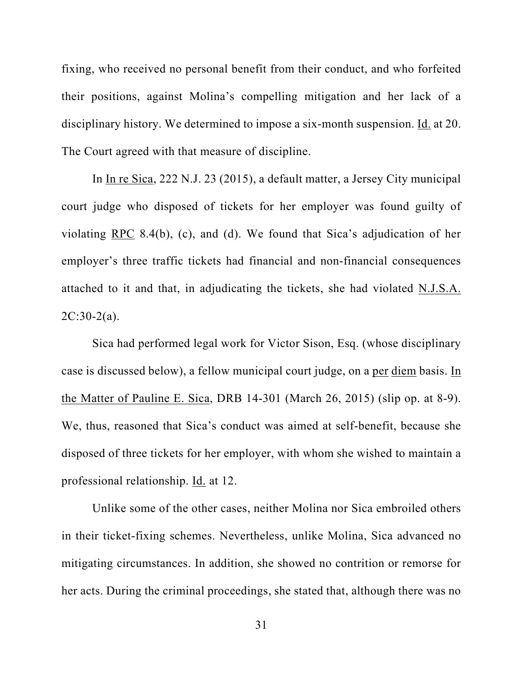fixing, who received no personal benefit from their conduct, and who forfeited their positions, against Molina's compelling mitigation and her lack of a disciplinary history. We determined to impose a six-month suspension. Id. at 20. The Court agreed with that measure of discipline.

In In re Sica, 222 N.J. 23 (2015), a default matter, a Jersey City municipal court judge who disposed of tickets for her employer was found guilty of violating RPC 8.4(b), (c), and (d). We found that Sica's adjudication of her employer's three traffic tickets had financial and non-financial consequences attached to it and that, in adjudicating the tickets, she had violated N.J.S.A.  $2C:30-2(a)$ .

Sica had performed legal work for Victor Sison, Esq. (whose disciplinary case is discussed below), a fellow municipal court judge, on a per diem basis. In the Matter of Pauline E. Sica, DRB 14-301 (March 26, 2015) (slip op. at 8-9). We, thus, reasoned that Sica's conduct was aimed at self-benefit, because she disposed of three tickets for her employer, with whom she wished to maintain a professional relationship. Id. at 12.

Unlike some of the other cases, neither Molina nor Sica embroiled others in their ticket-fixing schemes. Nevertheless, unlike Molina, Sica advanced no mitigating circumstances. In addition, she showed no contrition or remorse for her acts. During the criminal proceedings, she stated that, although there was no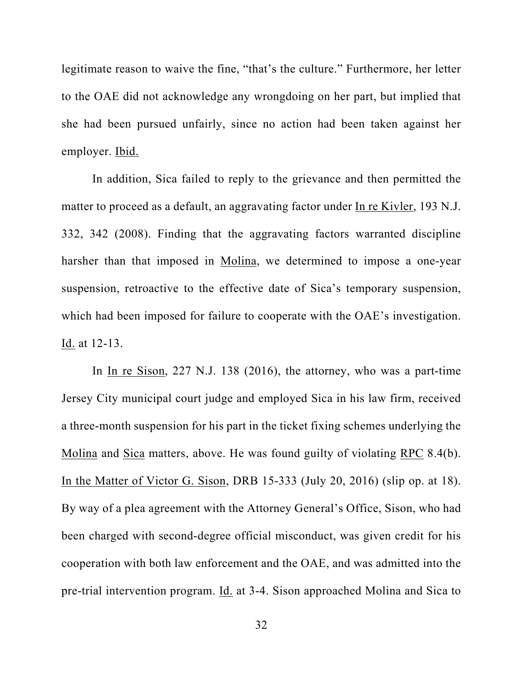legitimate reason to waive the fine, "that's the culture." Furthermore, her letter to the OAE did not acknowledge any wrongdoing on her part, but implied that she had been pursued unfairly, since no action had been taken against her employer. Ibid.

In addition, Sica failed to reply to the grievance and then permitted the matter to proceed as a default, an aggravating factor under In re Kivler, 193 N.J. 332, 342 (2008). Finding that the aggravating factors warranted discipline harsher than that imposed in Molina, we determined to impose a one-year suspension, retroactive to the effective date of Sica's temporary suspension, which had been imposed for failure to cooperate with the OAE's investigation. Id. at 12-13.

In In re Sison, 227 N.J. 138 (2016), the attorney, who was a part-time Jersey City municipal court judge and employed Sica in his law firm, received a three-month suspension for his part in the ticket fixing schemes underlying the Molina and Sica matters, above. He was found guilty of violating RPC 8.4(b). In the Matter of Victor G. Sison, DRB 15-333 (July 20, 2016) (slip op. at 18). By way of a plea agreement with the Attorney General's Office, Sison, who had been charged with second-degree official misconduct, was given credit for his cooperation with both law enforcement and the OAE, and was admitted into the pre-trial intervention program. Id. at 3-4. Sison approached Molina and Sica to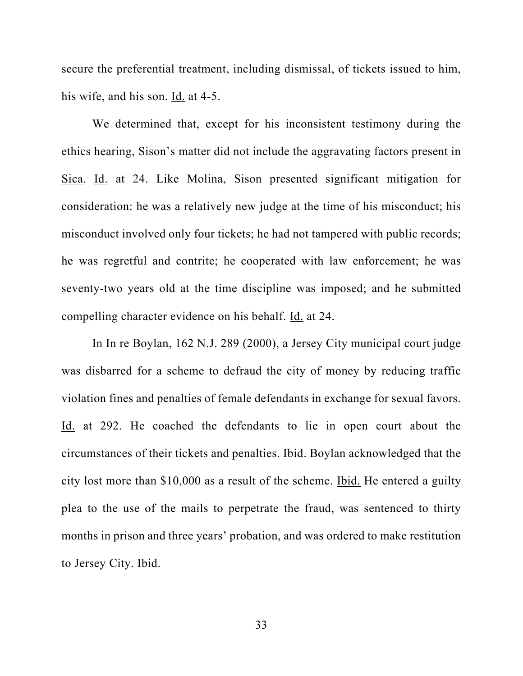secure the preferential treatment, including dismissal, of tickets issued to him, his wife, and his son. Id. at 4-5.

We determined that, except for his inconsistent testimony during the ethics hearing, Sison's matter did not include the aggravating factors present in Sica. Id. at 24. Like Molina, Sison presented significant mitigation for consideration: he was a relatively new judge at the time of his misconduct; his misconduct involved only four tickets; he had not tampered with public records; he was regretful and contrite; he cooperated with law enforcement; he was seventy-two years old at the time discipline was imposed; and he submitted compelling character evidence on his behalf. Id. at 24.

In In re Boylan, 162 N.J. 289 (2000), a Jersey City municipal court judge was disbarred for a scheme to defraud the city of money by reducing traffic violation fines and penalties of female defendants in exchange for sexual favors. Id. at 292. He coached the defendants to lie in open court about the circumstances of their tickets and penalties. Ibid. Boylan acknowledged that the city lost more than \$10,000 as a result of the scheme. Ibid. He entered a guilty plea to the use of the mails to perpetrate the fraud, was sentenced to thirty months in prison and three years' probation, and was ordered to make restitution to Jersey City. Ibid.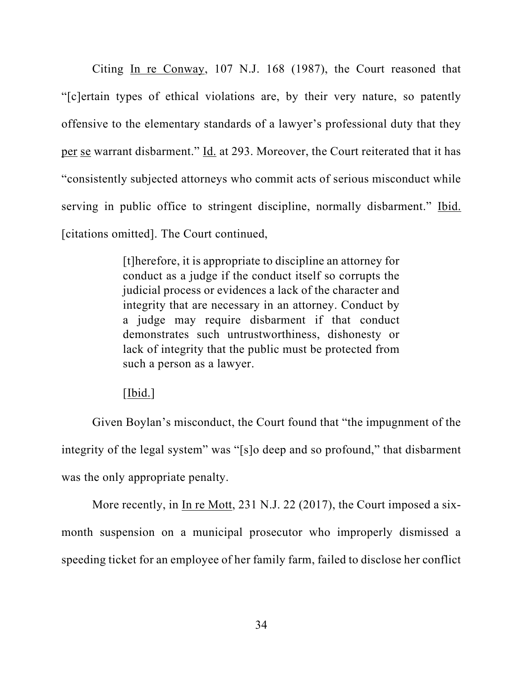Citing In re Conway, 107 N.J. 168 (1987), the Court reasoned that "[c]ertain types of ethical violations are, by their very nature, so patently offensive to the elementary standards of a lawyer's professional duty that they per se warrant disbarment." Id. at 293. Moreover, the Court reiterated that it has "consistently subjected attorneys who commit acts of serious misconduct while serving in public office to stringent discipline, normally disbarment." Ibid. [citations omitted]. The Court continued,

> [t]herefore, it is appropriate to discipline an attorney for conduct as a judge if the conduct itself so corrupts the judicial process or evidences a lack of the character and integrity that are necessary in an attorney. Conduct by a judge may require disbarment if that conduct demonstrates such untrustworthiness, dishonesty or lack of integrity that the public must be protected from such a person as a lawyer.

## [Ibid.]

Given Boylan's misconduct, the Court found that "the impugnment of the integrity of the legal system" was "[s]o deep and so profound," that disbarment was the only appropriate penalty.

More recently, in In re Mott, 231 N.J. 22 (2017), the Court imposed a sixmonth suspension on a municipal prosecutor who improperly dismissed a speeding ticket for an employee of her family farm, failed to disclose her conflict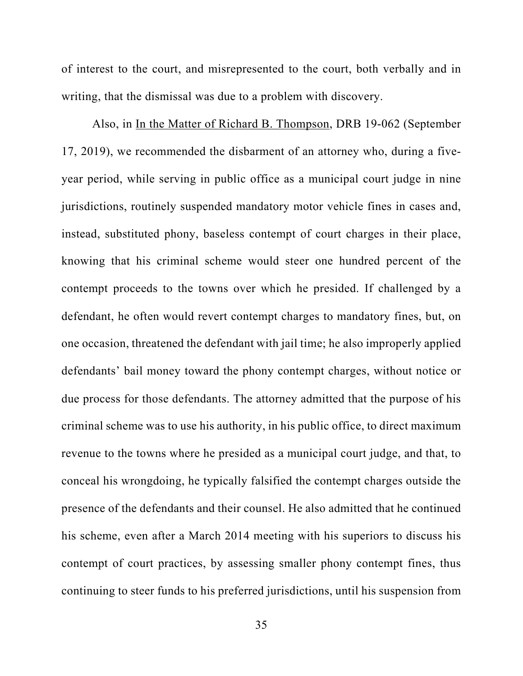of interest to the court, and misrepresented to the court, both verbally and in writing, that the dismissal was due to a problem with discovery.

Also, in In the Matter of Richard B. Thompson, DRB 19-062 (September 17, 2019), we recommended the disbarment of an attorney who, during a fiveyear period, while serving in public office as a municipal court judge in nine jurisdictions, routinely suspended mandatory motor vehicle fines in cases and, instead, substituted phony, baseless contempt of court charges in their place, knowing that his criminal scheme would steer one hundred percent of the contempt proceeds to the towns over which he presided. If challenged by a defendant, he often would revert contempt charges to mandatory fines, but, on one occasion, threatened the defendant with jail time; he also improperly applied defendants' bail money toward the phony contempt charges, without notice or due process for those defendants. The attorney admitted that the purpose of his criminal scheme was to use his authority, in his public office, to direct maximum revenue to the towns where he presided as a municipal court judge, and that, to conceal his wrongdoing, he typically falsified the contempt charges outside the presence of the defendants and their counsel. He also admitted that he continued his scheme, even after a March 2014 meeting with his superiors to discuss his contempt of court practices, by assessing smaller phony contempt fines, thus continuing to steer funds to his preferred jurisdictions, until his suspension from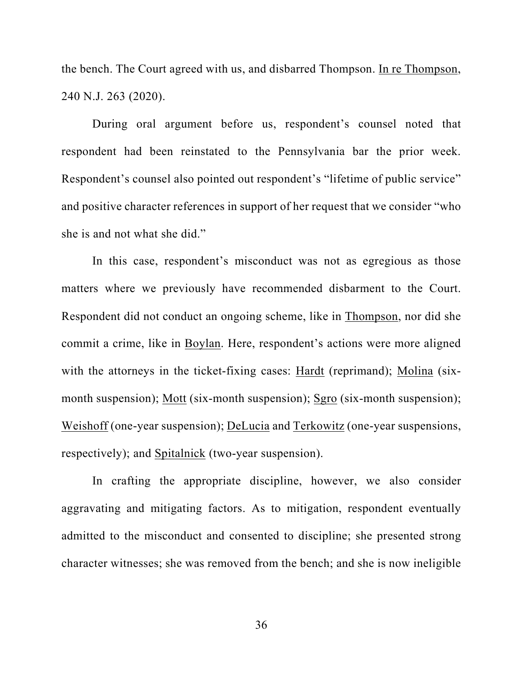the bench. The Court agreed with us, and disbarred Thompson. In re Thompson, 240 N.J. 263 (2020).

During oral argument before us, respondent's counsel noted that respondent had been reinstated to the Pennsylvania bar the prior week. Respondent's counsel also pointed out respondent's "lifetime of public service" and positive character references in support of her request that we consider "who she is and not what she did."

In this case, respondent's misconduct was not as egregious as those matters where we previously have recommended disbarment to the Court. Respondent did not conduct an ongoing scheme, like in Thompson, nor did she commit a crime, like in Boylan. Here, respondent's actions were more aligned with the attorneys in the ticket-fixing cases: Hardt (reprimand); Molina (sixmonth suspension); Mott (six-month suspension); Sgro (six-month suspension); Weishoff (one-year suspension); DeLucia and Terkowitz (one-year suspensions, respectively); and Spitalnick (two-year suspension).

In crafting the appropriate discipline, however, we also consider aggravating and mitigating factors. As to mitigation, respondent eventually admitted to the misconduct and consented to discipline; she presented strong character witnesses; she was removed from the bench; and she is now ineligible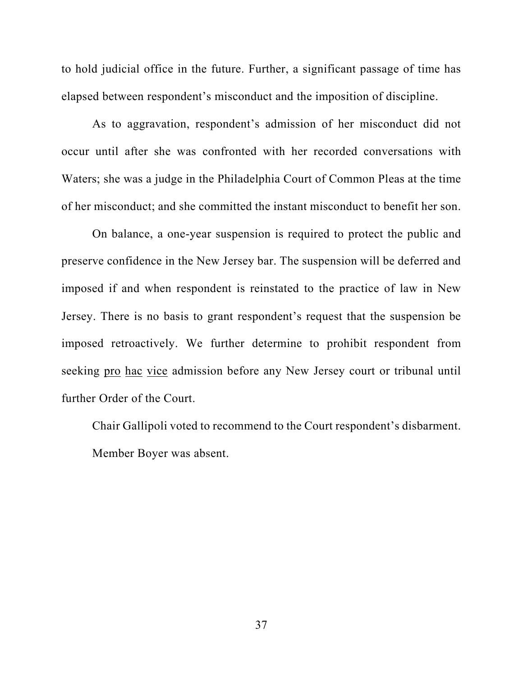to hold judicial office in the future. Further, a significant passage of time has elapsed between respondent's misconduct and the imposition of discipline.

As to aggravation, respondent's admission of her misconduct did not occur until after she was confronted with her recorded conversations with Waters; she was a judge in the Philadelphia Court of Common Pleas at the time of her misconduct; and she committed the instant misconduct to benefit her son.

On balance, a one-year suspension is required to protect the public and preserve confidence in the New Jersey bar. The suspension will be deferred and imposed if and when respondent is reinstated to the practice of law in New Jersey. There is no basis to grant respondent's request that the suspension be imposed retroactively. We further determine to prohibit respondent from seeking pro hac vice admission before any New Jersey court or tribunal until further Order of the Court.

Chair Gallipoli voted to recommend to the Court respondent's disbarment. Member Boyer was absent.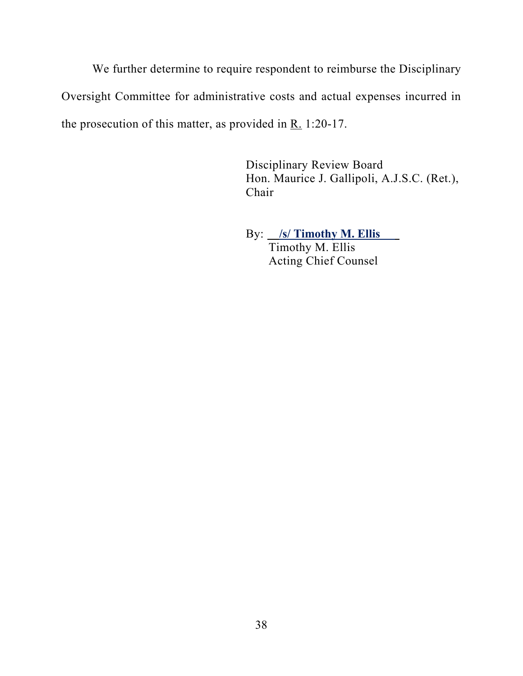We further determine to require respondent to reimburse the Disciplinary Oversight Committee for administrative costs and actual expenses incurred in the prosecution of this matter, as provided in R. 1:20-17.

> Disciplinary Review Board Hon. Maurice J. Gallipoli, A.J.S.C. (Ret.), Chair

 By: **/s/ Timothy M. Ellis**  Timothy M. Ellis Acting Chief Counsel